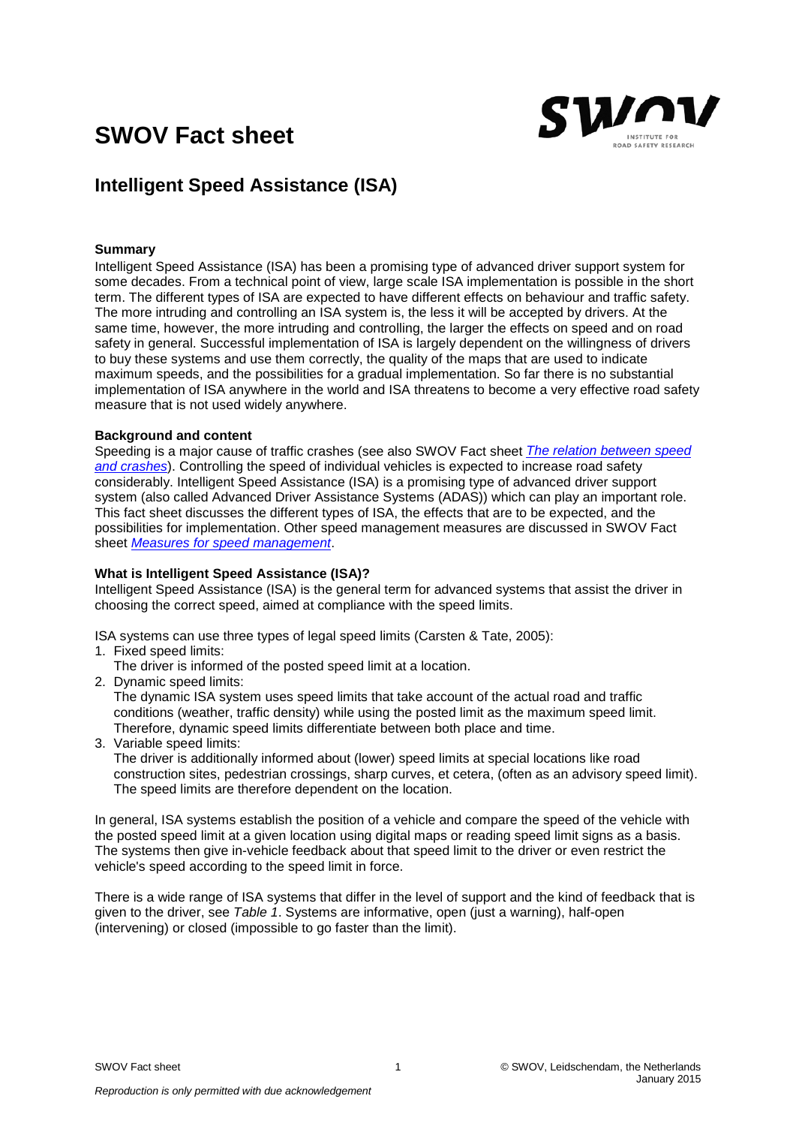# **SWOV Fact sheet**



# **Intelligent Speed Assistance (ISA)**

# **Summary**

Intelligent Speed Assistance (ISA) has been a promising type of advanced driver support system for some decades. From a technical point of view, large scale ISA implementation is possible in the short term. The different types of ISA are expected to have different effects on behaviour and traffic safety. The more intruding and controlling an ISA system is, the less it will be accepted by drivers. At the same time, however, the more intruding and controlling, the larger the effects on speed and on road safety in general. Successful implementation of ISA is largely dependent on the willingness of drivers to buy these systems and use them correctly, the quality of the maps that are used to indicate maximum speeds, and the possibilities for a gradual implementation. So far there is no substantial implementation of ISA anywhere in the world and ISA threatens to become a very effective road safety measure that is not used widely anywhere.

## **Background and content**

Speeding is a major cause of traffic crashes (see also SWOV Fact sheet *[The relation between speed](http://www.swov.nl/rapport/Factsheets/UK/FS_Speed.pdf)  [and crashes](http://www.swov.nl/rapport/Factsheets/UK/FS_Speed.pdf)*). Controlling the speed of individual vehicles is expected to increase road safety considerably. Intelligent Speed Assistance (ISA) is a promising type of advanced driver support system (also called Advanced Driver Assistance Systems (ADAS)) which can play an important role. This fact sheet discusses the different types of ISA, the effects that are to be expected, and the possibilities for implementation. Other speed management measures are discussed in SWOV Fact sheet *[Measures for speed](http://www.swov.nl/rapport/Factsheets/UK/FS_Speed_management.pdf) management*.

# **What is Intelligent Speed Assistance (ISA)?**

Intelligent Speed Assistance (ISA) is the general term for advanced systems that assist the driver in choosing the correct speed, aimed at compliance with the speed limits.

ISA systems can use three types of legal speed limits (Carsten & Tate, 2005):

- 1. Fixed speed limits:
	- The driver is informed of the posted speed limit at a location.
- 2. Dynamic speed limits:

The dynamic ISA system uses speed limits that take account of the actual road and traffic conditions (weather, traffic density) while using the posted limit as the maximum speed limit. Therefore, dynamic speed limits differentiate between both place and time.

3. Variable speed limits:

The driver is additionally informed about (lower) speed limits at special locations like road construction sites, pedestrian crossings, sharp curves, et cetera, (often as an advisory speed limit). The speed limits are therefore dependent on the location.

In general, ISA systems establish the position of a vehicle and compare the speed of the vehicle with the posted speed limit at a given location using digital maps or reading speed limit signs as a basis. The systems then give in-vehicle feedback about that speed limit to the driver or even restrict the vehicle's speed according to the speed limit in force.

There is a wide range of ISA systems that differ in the level of support and the kind of feedback that is given to the driver, see *Table 1*. Systems are informative, open (just a warning), half-open (intervening) or closed (impossible to go faster than the limit).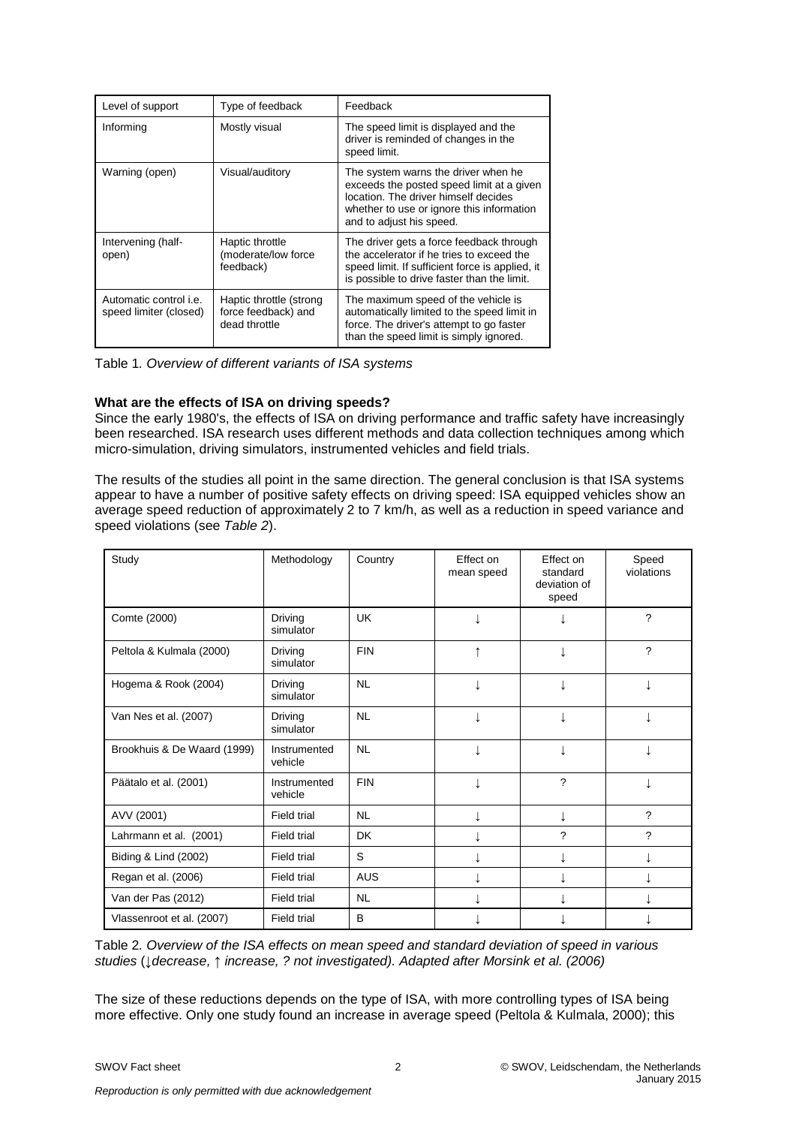| Level of support                                        | Type of feedback                                                | Feedback                                                                                                                                                                                          |
|---------------------------------------------------------|-----------------------------------------------------------------|---------------------------------------------------------------------------------------------------------------------------------------------------------------------------------------------------|
| Informing                                               | Mostly visual                                                   | The speed limit is displayed and the<br>driver is reminded of changes in the<br>speed limit.                                                                                                      |
| Warning (open)                                          | Visual/auditory                                                 | The system warns the driver when he<br>exceeds the posted speed limit at a given<br>location. The driver himself decides<br>whether to use or ignore this information<br>and to adjust his speed. |
| Intervening (half-<br>open)                             | Haptic throttle<br>(moderate/low force<br>feedback)             | The driver gets a force feedback through<br>the accelerator if he tries to exceed the<br>speed limit. If sufficient force is applied, it<br>is possible to drive faster than the limit.           |
| Automatic control <i>i.e.</i><br>speed limiter (closed) | Haptic throttle (strong<br>force feedback) and<br>dead throttle | The maximum speed of the vehicle is<br>automatically limited to the speed limit in<br>force. The driver's attempt to go faster<br>than the speed limit is simply ignored.                         |

Table 1*. Overview of different variants of ISA systems*

# **What are the effects of ISA on driving speeds?**

Since the early 1980's, the effects of ISA on driving performance and traffic safety have increasingly been researched. ISA research uses different methods and data collection techniques among which micro-simulation, driving simulators, instrumented vehicles and field trials.

The results of the studies all point in the same direction. The general conclusion is that ISA systems appear to have a number of positive safety effects on driving speed: ISA equipped vehicles show an average speed reduction of approximately 2 to 7 km/h, as well as a reduction in speed variance and speed violations (see *Table 2*).

| Study                       | Methodology             | Country    | Effect on<br>mean speed | Effect on<br>standard<br>deviation of<br>speed | Speed<br>violations |
|-----------------------------|-------------------------|------------|-------------------------|------------------------------------------------|---------------------|
| Comte (2000)                | Driving<br>simulator    | UK         |                         |                                                | ?                   |
| Peltola & Kulmala (2000)    | Driving<br>simulator    | <b>FIN</b> |                         |                                                | $\gamma$            |
| Hogema & Rook (2004)        | Driving<br>simulator    | <b>NL</b>  |                         |                                                |                     |
| Van Nes et al. (2007)       | Driving<br>simulator    | <b>NL</b>  |                         |                                                |                     |
| Brookhuis & De Waard (1999) | Instrumented<br>vehicle | <b>NL</b>  |                         | ↓                                              |                     |
| Päätalo et al. (2001)       | Instrumented<br>vehicle | <b>FIN</b> |                         | ?                                              |                     |
| AVV (2001)                  | Field trial             | <b>NL</b>  |                         | T                                              | $\gamma$            |
| Lahrmann et al. (2001)      | Field trial             | <b>DK</b>  |                         | ?                                              | $\gamma$            |
| Biding & Lind (2002)        | Field trial             | S          |                         | ↓                                              |                     |
| Regan et al. (2006)         | Field trial             | <b>AUS</b> |                         |                                                |                     |
| Van der Pas (2012)          | Field trial             | <b>NL</b>  |                         |                                                |                     |
| Vlassenroot et al. (2007)   | Field trial             | B          |                         |                                                |                     |

Table 2*. Overview of the ISA effects on mean speed and standard deviation of speed in various studies* (↓*decrease,* ↑ *increase, ? not investigated). Adapted after Morsink et al. (2006)*

The size of these reductions depends on the type of ISA, with more controlling types of ISA being more effective. Only one study found an increase in average speed (Peltola & Kulmala, 2000); this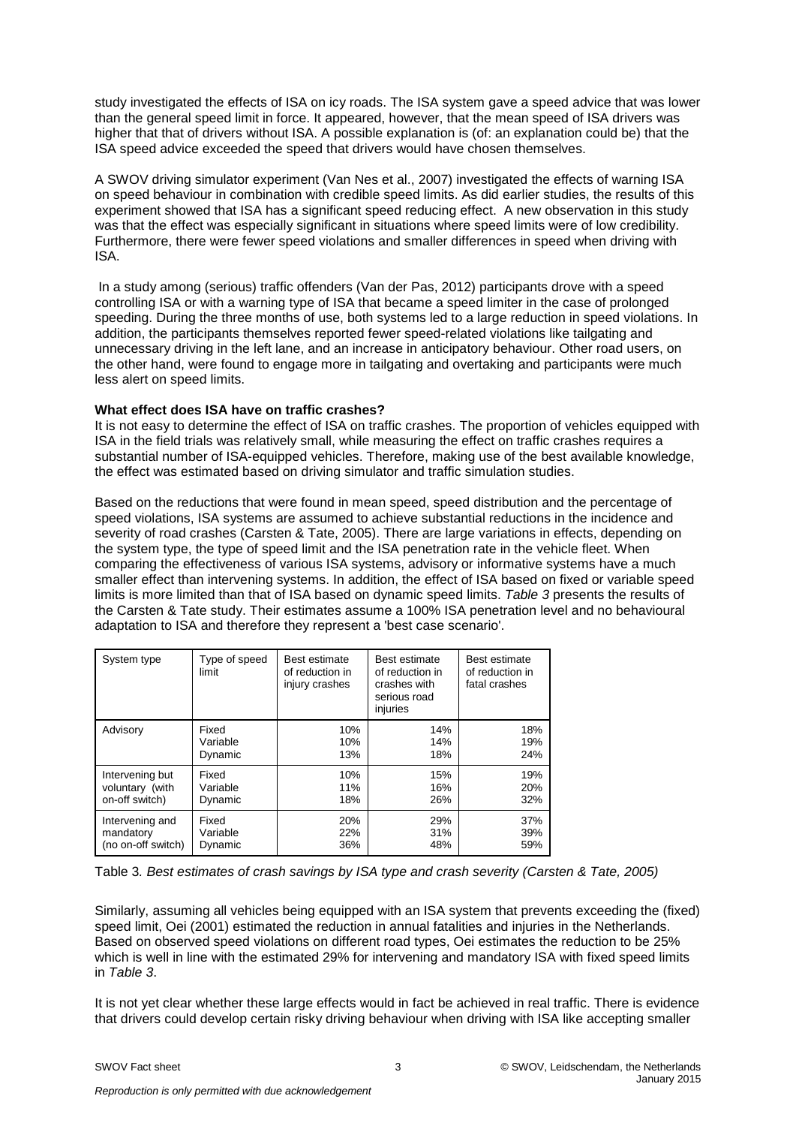study investigated the effects of ISA on icy roads. The ISA system gave a speed advice that was lower than the general speed limit in force. It appeared, however, that the mean speed of ISA drivers was higher that that of drivers without ISA. A possible explanation is (of: an explanation could be) that the ISA speed advice exceeded the speed that drivers would have chosen themselves.

A SWOV driving simulator experiment (Van Nes et al., 2007) investigated the effects of warning ISA on speed behaviour in combination with credible speed limits. As did earlier studies, the results of this experiment showed that ISA has a significant speed reducing effect. A new observation in this study was that the effect was especially significant in situations where speed limits were of low credibility. Furthermore, there were fewer speed violations and smaller differences in speed when driving with ISA.

In a study among (serious) traffic offenders (Van der Pas, 2012) participants drove with a speed controlling ISA or with a warning type of ISA that became a speed limiter in the case of prolonged speeding. During the three months of use, both systems led to a large reduction in speed violations. In addition, the participants themselves reported fewer speed-related violations like tailgating and unnecessary driving in the left lane, and an increase in anticipatory behaviour. Other road users, on the other hand, were found to engage more in tailgating and overtaking and participants were much less alert on speed limits.

# **What effect does ISA have on traffic crashes?**

It is not easy to determine the effect of ISA on traffic crashes. The proportion of vehicles equipped with ISA in the field trials was relatively small, while measuring the effect on traffic crashes requires a substantial number of ISA-equipped vehicles. Therefore, making use of the best available knowledge, the effect was estimated based on driving simulator and traffic simulation studies.

Based on the reductions that were found in mean speed, speed distribution and the percentage of speed violations, ISA systems are assumed to achieve substantial reductions in the incidence and severity of road crashes (Carsten & Tate, 2005). There are large variations in effects, depending on the system type, the type of speed limit and the ISA penetration rate in the vehicle fleet. When comparing the effectiveness of various ISA systems, advisory or informative systems have a much smaller effect than intervening systems. In addition, the effect of ISA based on fixed or variable speed limits is more limited than that of ISA based on dynamic speed limits. *Table 3* presents the results of the Carsten & Tate study. Their estimates assume a 100% ISA penetration level and no behavioural adaptation to ISA and therefore they represent a 'best case scenario'.

| System type        | Type of speed<br>limit | Best estimate<br>of reduction in<br>injury crashes | Best estimate<br>of reduction in<br>crashes with<br>serious road<br>injuries | Best estimate<br>of reduction in<br>fatal crashes |
|--------------------|------------------------|----------------------------------------------------|------------------------------------------------------------------------------|---------------------------------------------------|
| Advisory           | Fixed                  | 10%                                                | 14%                                                                          | 18%                                               |
|                    | Variable               | 10%                                                | 14%                                                                          | 19%                                               |
|                    | Dynamic                | 13%                                                | 18%                                                                          | 24%                                               |
| Intervening but    | Fixed                  | 10%                                                | 15%                                                                          | 19%                                               |
| voluntary (with    | Variable               | 11%                                                | 16%                                                                          | 20%                                               |
| on-off switch)     | Dynamic                | 18%                                                | 26%                                                                          | 32%                                               |
| Intervening and    | Fixed                  | 20%                                                | 29%                                                                          | 37%                                               |
| mandatory          | Variable               | 22%                                                | 31%                                                                          | 39%                                               |
| (no on-off switch) | Dynamic                | 36%                                                | 48%                                                                          | 59%                                               |

Table 3*. Best estimates of crash savings by ISA type and crash severity (Carsten & Tate, 2005)*

Similarly, assuming all vehicles being equipped with an ISA system that prevents exceeding the (fixed) speed limit, Oei (2001) estimated the reduction in annual fatalities and injuries in the Netherlands. Based on observed speed violations on different road types, Oei estimates the reduction to be 25% which is well in line with the estimated 29% for intervening and mandatory ISA with fixed speed limits in *Table 3*.

It is not yet clear whether these large effects would in fact be achieved in real traffic. There is evidence that drivers could develop certain risky driving behaviour when driving with ISA like accepting smaller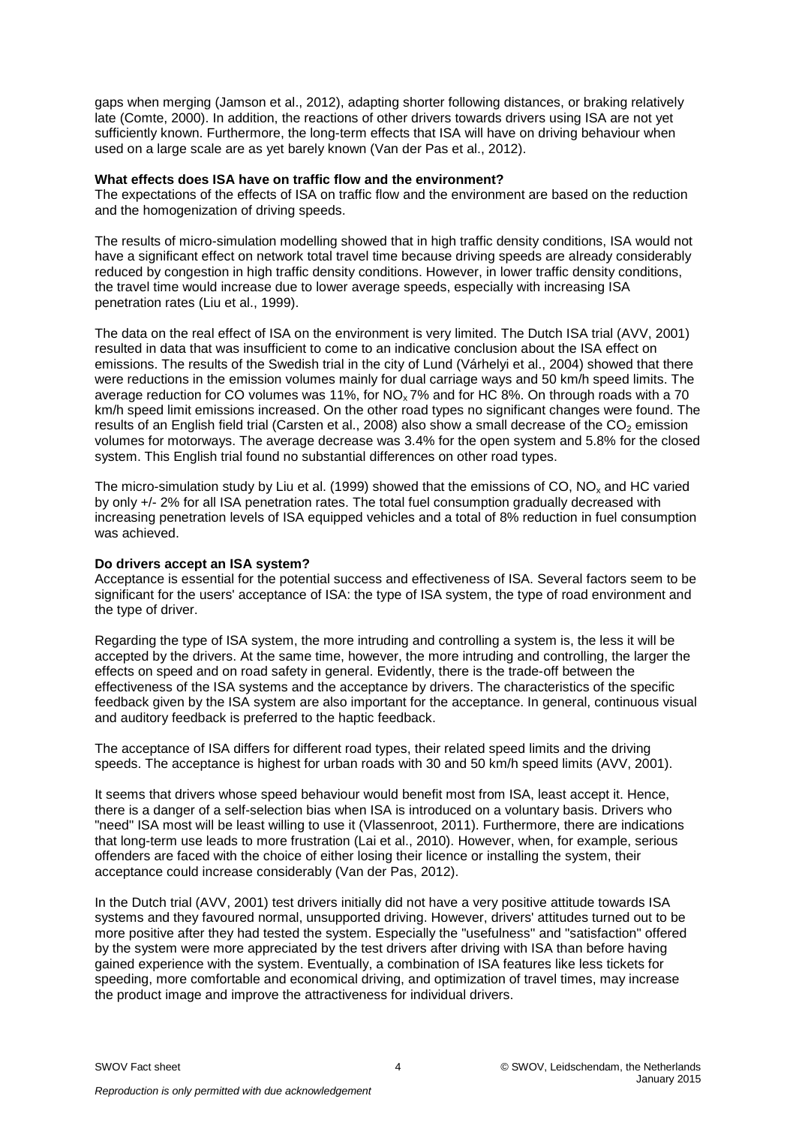gaps when merging (Jamson et al., 2012), adapting shorter following distances, or braking relatively late (Comte, 2000). In addition, the reactions of other drivers towards drivers using ISA are not yet sufficiently known. Furthermore, the long-term effects that ISA will have on driving behaviour when used on a large scale are as yet barely known (Van der Pas et al., 2012).

#### **What effects does ISA have on traffic flow and the environment?**

The expectations of the effects of ISA on traffic flow and the environment are based on the reduction and the homogenization of driving speeds.

The results of micro-simulation modelling showed that in high traffic density conditions, ISA would not have a significant effect on network total travel time because driving speeds are already considerably reduced by congestion in high traffic density conditions. However, in lower traffic density conditions, the travel time would increase due to lower average speeds, especially with increasing ISA penetration rates (Liu et al., 1999).

The data on the real effect of ISA on the environment is very limited. The Dutch ISA trial (AVV, 2001) resulted in data that was insufficient to come to an indicative conclusion about the ISA effect on emissions. The results of the Swedish trial in the city of Lund (Várhelyi et al., 2004) showed that there were reductions in the emission volumes mainly for dual carriage ways and 50 km/h speed limits. The average reduction for CO volumes was 11%, for NOx 7% and for HC 8%. On through roads with a 70 km/h speed limit emissions increased. On the other road types no significant changes were found. The results of an English field trial (Carsten et al., 2008) also show a small decrease of the  $CO<sub>2</sub>$  emission volumes for motorways. The average decrease was 3.4% for the open system and 5.8% for the closed system. This English trial found no substantial differences on other road types.

The micro-simulation study by Liu et al. (1999) showed that the emissions of CO,  $NO<sub>x</sub>$  and HC varied by only +/- 2% for all ISA penetration rates. The total fuel consumption gradually decreased with increasing penetration levels of ISA equipped vehicles and a total of 8% reduction in fuel consumption was achieved.

# **Do drivers accept an ISA system?**

Acceptance is essential for the potential success and effectiveness of ISA. Several factors seem to be significant for the users' acceptance of ISA: the type of ISA system, the type of road environment and the type of driver.

Regarding the type of ISA system, the more intruding and controlling a system is, the less it will be accepted by the drivers. At the same time, however, the more intruding and controlling, the larger the effects on speed and on road safety in general. Evidently, there is the trade-off between the effectiveness of the ISA systems and the acceptance by drivers. The characteristics of the specific feedback given by the ISA system are also important for the acceptance. In general, continuous visual and auditory feedback is preferred to the haptic feedback.

The acceptance of ISA differs for different road types, their related speed limits and the driving speeds. The acceptance is highest for urban roads with 30 and 50 km/h speed limits (AVV, 2001).

It seems that drivers whose speed behaviour would benefit most from ISA, least accept it. Hence, there is a danger of a self-selection bias when ISA is introduced on a voluntary basis. Drivers who "need" ISA most will be least willing to use it (Vlassenroot, 2011). Furthermore, there are indications that long-term use leads to more frustration (Lai et al., 2010). However, when, for example, serious offenders are faced with the choice of either losing their licence or installing the system, their acceptance could increase considerably (Van der Pas, 2012).

In the Dutch trial (AVV, 2001) test drivers initially did not have a very positive attitude towards ISA systems and they favoured normal, unsupported driving. However, drivers' attitudes turned out to be more positive after they had tested the system. Especially the "usefulness'' and "satisfaction" offered by the system were more appreciated by the test drivers after driving with ISA than before having gained experience with the system. Eventually, a combination of ISA features like less tickets for speeding, more comfortable and economical driving, and optimization of travel times, may increase the product image and improve the attractiveness for individual drivers.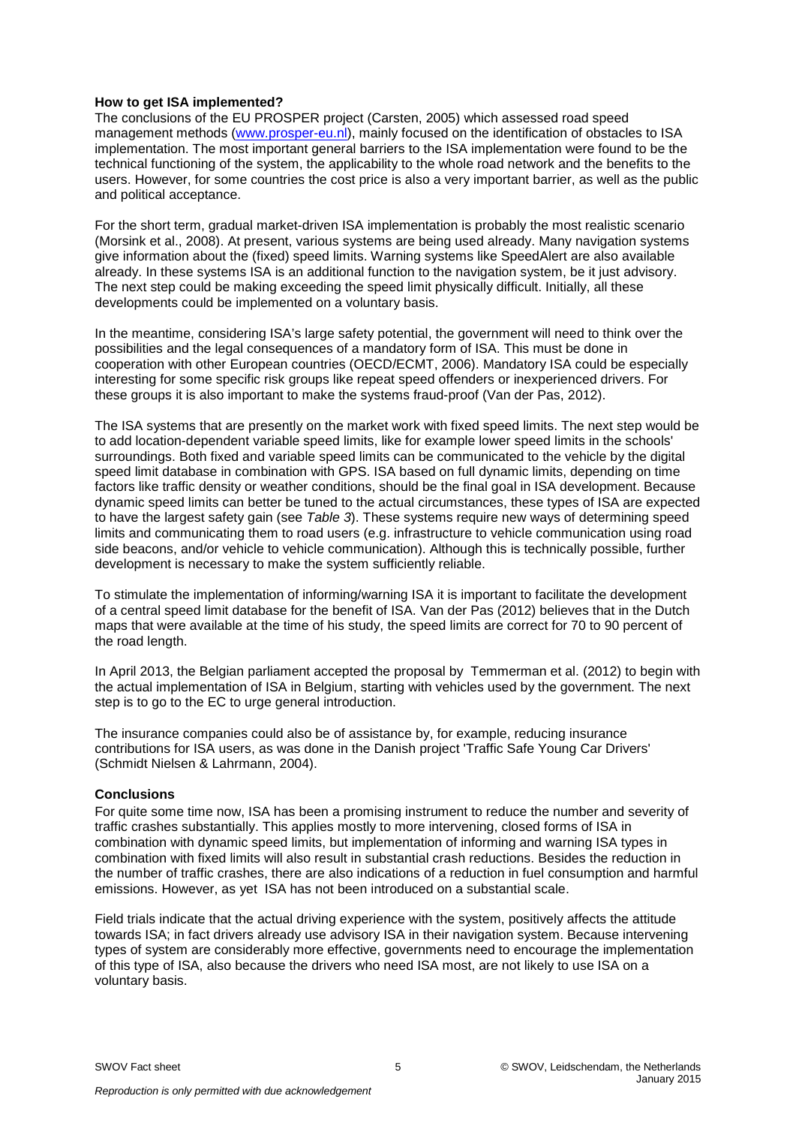# **How to get ISA implemented?**

The conclusions of the EU PROSPER project (Carsten, 2005) which assessed road speed management methods [\(www.prosper-eu.nl\)](http://www.prosper-eu.nl/), mainly focused on the identification of obstacles to ISA implementation. The most important general barriers to the ISA implementation were found to be the technical functioning of the system, the applicability to the whole road network and the benefits to the users. However, for some countries the cost price is also a very important barrier, as well as the public and political acceptance.

For the short term, gradual market-driven ISA implementation is probably the most realistic scenario (Morsink et al., 2008). At present, various systems are being used already. Many navigation systems give information about the (fixed) speed limits. Warning systems like SpeedAlert are also available already. In these systems ISA is an additional function to the navigation system, be it just advisory. The next step could be making exceeding the speed limit physically difficult. Initially, all these developments could be implemented on a voluntary basis.

In the meantime, considering ISA's large safety potential, the government will need to think over the possibilities and the legal consequences of a mandatory form of ISA. This must be done in cooperation with other European countries (OECD/ECMT, 2006). Mandatory ISA could be especially interesting for some specific risk groups like repeat speed offenders or inexperienced drivers. For these groups it is also important to make the systems fraud-proof (Van der Pas, 2012).

The ISA systems that are presently on the market work with fixed speed limits. The next step would be to add location-dependent variable speed limits, like for example lower speed limits in the schools' surroundings. Both fixed and variable speed limits can be communicated to the vehicle by the digital speed limit database in combination with GPS. ISA based on full dynamic limits, depending on time factors like traffic density or weather conditions, should be the final goal in ISA development. Because dynamic speed limits can better be tuned to the actual circumstances, these types of ISA are expected to have the largest safety gain (see *Table 3*). These systems require new ways of determining speed limits and communicating them to road users (e.g. infrastructure to vehicle communication using road side beacons, and/or vehicle to vehicle communication). Although this is technically possible, further development is necessary to make the system sufficiently reliable.

To stimulate the implementation of informing/warning ISA it is important to facilitate the development of a central speed limit database for the benefit of ISA. Van der Pas (2012) believes that in the Dutch maps that were available at the time of his study, the speed limits are correct for 70 to 90 percent of the road length.

In April 2013, the Belgian parliament accepted the proposal by Temmerman et al. (2012) to begin with the actual implementation of ISA in Belgium, starting with vehicles used by the government. The next step is to go to the EC to urge general introduction.

The insurance companies could also be of assistance by, for example, reducing insurance contributions for ISA users, as was done in the Danish project 'Traffic Safe Young Car Drivers' (Schmidt Nielsen & Lahrmann, 2004).

## **Conclusions**

For quite some time now, ISA has been a promising instrument to reduce the number and severity of traffic crashes substantially. This applies mostly to more intervening, closed forms of ISA in combination with dynamic speed limits, but implementation of informing and warning ISA types in combination with fixed limits will also result in substantial crash reductions. Besides the reduction in the number of traffic crashes, there are also indications of a reduction in fuel consumption and harmful emissions. However, as yet ISA has not been introduced on a substantial scale.

Field trials indicate that the actual driving experience with the system, positively affects the attitude towards ISA; in fact drivers already use advisory ISA in their navigation system. Because intervening types of system are considerably more effective, governments need to encourage the implementation of this type of ISA, also because the drivers who need ISA most, are not likely to use ISA on a voluntary basis.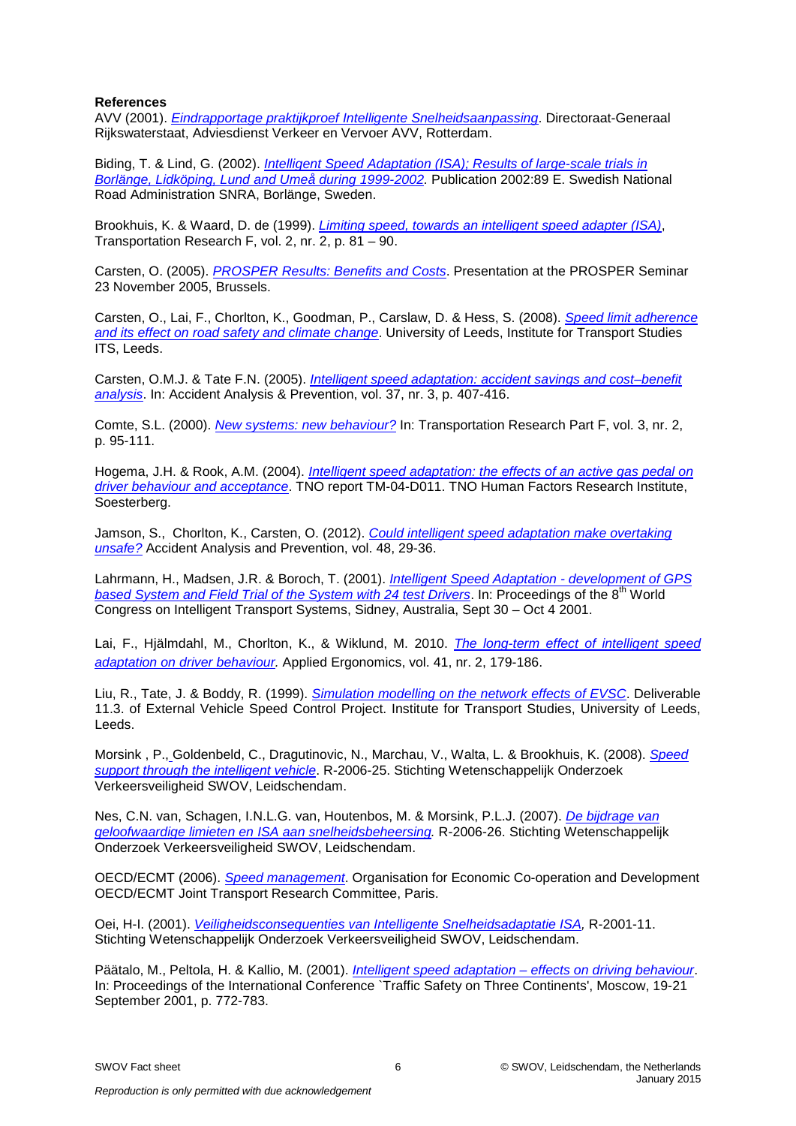# **References**

AVV (2001). *[Eindrapportage praktijkproef Intelligente Snelheidsaanpassing](http://swov.summon.serialssolutions.com/2.0.0/link/0/eLvHCXMwbRzLSsNAcKgWRPBgfcRWhT3qoXk_GimFGlqsWhAbpPZSNs2mxpYYm6j_4tc6m9hQJZAcZpjM7C7DvHYmAJoqys1_NsFQmaFTNH2WZfHpx0DVZrI2U1qB6bXsGZ8b7l2bt8_606PlVsD4W8kQk6-3TzFaSnmvvxTw2X5phkeIpia_ScU8xtyCKiqYkmXussNbs_CzDW_R34cq4yMENaiw6BC-B6MuccMlv88gF4PiF5gpI6OILV9Y6CekS6MYw1j0IySMiM9IvKKLNHxdkDmvjKaX5Iq0vQ7DDHpF4yxmnrO25HU4dk2LxpAFGTLclIIUyVoQLeRwuiNo9Huuc9PkW5j-VnKm-Ta1Y9ijvP09SrMxOV-AaoC6ygS0_fgqAuyMbWus3_fdHKytQTHJRrnE91RAb5VpetMU5VIGd63hRB0WDHKwjIEh6qUMJo46dB4KBjlYvgLzBIgqM8unaASorGFUY1NdNxj6Sk_RDdv0aR0OSg6jDkIJdhr7QaOU_hR28y4y_pzBdrr6YOe5pvwA2XPCnw)*. Directoraat-Generaal Rijkswaterstaat, Adviesdienst Verkeer en Vervoer AVV, Rotterdam.

Biding, T. & Lind, G. (2002). *[Intelligent Speed Adaptation \(ISA\); Results of large-scale trials in](http://swov.summon.serialssolutions.com/2.0.0/link/0/eLvHCXMwbV3bSsNAEF2qBRF8sF6iVSGPCubS3Cul0IYWLy2IrVL7IrnsQjGmtUn1h_QX_IH-h9_izq6JF_IQyJlMhmXY7GR358wipGuyKv0bE0wNm4ZHhz7btoH9SDQ9UPWg5hDLd-oB8IY7bevy3ri7sYclZP5dyZCT1-mLHEcKz_VXCHD7lYC6kA41sJOqQyEtawWVaQersZm76kJqFn3tV7TobqIyBgpBBZVwvI0-G37zIi98mTYUvylS0WBG40YGWqE343viTHIMrwxacH8inoECnRQvojTJ9KdEjCCFG7BEcUI9jbOH7CCOXHUSi-3pPFq-xVz9FIS9Sfi4_ACq1I9oEefN8eJQvH3Cy_dMwMmMGWI1BSDtAgQ7qNrtDN1zCdzw8L0a9MBdpe-iDQ9S6OOUUe1CAZUJbRsWaPygV01Aa6O6PTJ63SGHlQzKCaODyc-pQCMe-1okS1YLDVw5_bHWzw1wWGTAlI1CA2NX67vXuQEOi1tg7SHRNIjh1G1CTAyVDWn3Ip5J_2lDbPswcd1HWwXOqBZKD9A6O_mFLbccotV0vsBHvE99AXg7yh0) [Borlänge, Lidköping, Lund and Umeå during 1999-2002.](http://swov.summon.serialssolutions.com/2.0.0/link/0/eLvHCXMwbV3bSsNAEF2qBRF8sF6iVSGPCubS3Cul0IYWLy2IrVL7IrnsQjGmtUn1h_QX_IH-h9_izq6JF_IQyJlMhmXY7GR358wipGuyKv0bE0wNm4ZHhz7btoH9SDQ9UPWg5hDLd-oB8IY7bevy3ri7sYclZP5dyZCT1-mLHEcKz_VXCHD7lYC6kA41sJOqQyEtawWVaQersZm76kJqFn3tV7TobqIyBgpBBZVwvI0-G37zIi98mTYUvylS0WBG40YGWqE343viTHIMrwxacH8inoECnRQvojTJ9KdEjCCFG7BEcUI9jbOH7CCOXHUSi-3pPFq-xVz9FIS9Sfi4_ACq1I9oEefN8eJQvH3Cy_dMwMmMGWI1BSDtAgQ7qNrtDN1zCdzw8L0a9MBdpe-iDQ9S6OOUUe1CAZUJbRsWaPygV01Aa6O6PTJ63SGHlQzKCaODyc-pQCMe-1okS1YLDVw5_bHWzw1wWGTAlI1CA2NX67vXuQEOi1tg7SHRNIjh1G1CTAyVDWn3Ip5J_2lDbPswcd1HWwXOqBZKD9A6O_mFLbccotV0vsBHvE99AXg7yh0)* Publication 2002:89 E. Swedish National Road Administration SNRA, Borlänge, Sweden.

Brookhuis, K. & Waard, D. de (1999). *[Limiting speed, towards an intelligent speed adapter \(ISA\)](http://dx.doi.org/10.1016/S1369-8478(99)00008-X)*, Transportation Research F, vol. 2, nr. 2, p. 81 – 90.

Carsten, O. (2005). *[PROSPER Results: Benefits and Costs](http://www.etsc.eu/documents/6_%20Carsten.ppt)*. Presentation at the PROSPER Seminar 23 November 2005, Brussels.

Carsten, O., Lai, F., Chorlton, K., Goodman, P., Carslaw, D. & Hess, S. (2008). *[Speed limit adherence](http://swov.summon.serialssolutions.com/2.0.0/link/0/eLvHCXMwbV1dS8MwFL0MByL44Pyomwr9A0u_m07GHiwbog5Eh8y9jCxNUBjdXKvi__AHe9PYMqUPfTiX5pCEy73NzT0UwHOJ3f0XEwJXBD7D0EcpVepH6Xrc9rgTyXAR9bjSDQ-vwptn_-mBThoQ_K1kkOxz9UHSpaV7_S2ptP0Wxy3EUFPcpLo-pXhwb6KDOcXJ3Y5VaxYO28oWowNoCiUhaEFDpEfw3V8MHteYJPrWYmAiWCpNUQlY8qIFd5UhTczXPCuh7rco0So1NytWMWVMivxreyRHcvx6LE1a1lugS1OqH2CZ-pLgGDqj4SS-7qrJz39rOHO9QO8E9plqfE_zQiCXGNCU6KXCwKiPj2PA7rRHp_7daKJhq4QkK0Rc5C03ME8VPt4NiV1LcBuNZ-64ItCwjiAgfi3BLHbH8X1FoGH9DMJTMDmlPUegY7CI-gkXUSgkhgaMvJyFNBFtOKzZjDYYNdb5OpGd2vfPYE_3eqjyyTns5Jt3caF95Afj5bwZ)  [and its effect on road safety and climate change](http://swov.summon.serialssolutions.com/2.0.0/link/0/eLvHCXMwbV1dS8MwFL0MByL44Pyomwr9A0u_m07GHiwbog5Eh8y9jCxNUBjdXKvi__AHe9PYMqUPfTiX5pCEy73NzT0UwHOJ3f0XEwJXBD7D0EcpVepH6Xrc9rgTyXAR9bjSDQ-vwptn_-mBThoQ_K1kkOxz9UHSpaV7_S2ptP0Wxy3EUFPcpLo-pXhwb6KDOcXJ3Y5VaxYO28oWowNoCiUhaEFDpEfw3V8MHteYJPrWYmAiWCpNUQlY8qIFd5UhTczXPCuh7rco0So1NytWMWVMivxreyRHcvx6LE1a1lugS1OqH2CZ-pLgGDqj4SS-7qrJz39rOHO9QO8E9plqfE_zQiCXGNCU6KXCwKiPj2PA7rRHp_7daKJhq4QkK0Rc5C03ME8VPt4NiV1LcBuNZ-64ItCwjiAgfi3BLHbH8X1FoGH9DMJTMDmlPUegY7CI-gkXUSgkhgaMvJyFNBFtOKzZjDYYNdb5OpGd2vfPYE_3eqjyyTns5Jt3caF95Afj5bwZ)*. University of Leeds, Institute for Transport Studies ITS, Leeds.

Carsten, O.M.J. & Tate F.N. (2005). *[Intelligent speed adaptation: accident savings and cost–benefit](http://dx.doi.org/10.1016/j.aap.2004.02.007)  [analysis](http://dx.doi.org/10.1016/j.aap.2004.02.007)*. In: Accident Analysis & Prevention, vol. 37, nr. 3, p. 407-416.

Comte, S.L. (2000). *[New systems: new behaviour?](http://library.swov.nl/action/front/cardweb?id=76678)* In: Transportation Research Part F, vol. 3, nr. 2, p. 95-111.

Hogema, J.H. & Rook, A.M. (2004). *Intelligent speed [adaptation: the effects of an active gas pedal on](http://swov.summon.serialssolutions.com/2.0.0/link/0/eLvHCXMwbVxZS8NAEF7Fggg-eMZ6wPwAm6Q5WxFBa4tXUKTU46Vsu7silLT2UPz3zuw2qUoe8jBfJpOwu5nZnf1mGfM926388wmhJ8OAo-uL45iqH5Xn912_X62pqFer96luuHkR3bwEnce4vczCv5kMe_I1_LTTgWO4_o6i2n6nj02IrkbvpKL_9dERl3CAVfXK3W0QNQsf-xUtWhusJKmEYJMty3R7KTrtnV3nB19OT53eGSA0GWHcyAQu-MjsiWvkhDCcmcGcbZGpDRXwFLh2URn2xvPbIyn4INdNQYyJdJEB84L8WQ7wVKAtorVQzxNqw30KpDdQgO-iL7icYbdCYg7Y_SY0Pw79GEzODyjhPgEy94Qz1zEsKDXHC23IOH6gE8oSzjsd_Qy9JdsTAKpXeSdibrrD9lvNduOqQs3bnWeZuqYL_F22zoman051CZ-wWEnhfyQtjEt4VS22-lyPn4O7VtuIm5loT3SZmf0xtTCS6r-wEtluoYHbWvLqJbkBIxYZCO2g0MBrw0saD7kBIxZ_QbTHgHuukBjXudurByKI6zh4cemsIiUFLulUmW0VNEaZWQVodyTUfqH-AVszvCBK8Byylel4Jo_MKP4BHUv00w)  [driver behaviour and acceptance](http://swov.summon.serialssolutions.com/2.0.0/link/0/eLvHCXMwbVxZS8NAEF7Fggg-eMZ6wPwAm6Q5WxFBa4tXUKTU46Vsu7silLT2UPz3zuw2qUoe8jBfJpOwu5nZnf1mGfM926388wmhJ8OAo-uL45iqH5Xn912_X62pqFer96luuHkR3bwEnce4vczCv5kMe_I1_LTTgWO4_o6i2n6nj02IrkbvpKL_9dERl3CAVfXK3W0QNQsf-xUtWhusJKmEYJMty3R7KTrtnV3nB19OT53eGSA0GWHcyAQu-MjsiWvkhDCcmcGcbZGpDRXwFLh2URn2xvPbIyn4INdNQYyJdJEB84L8WQ7wVKAtorVQzxNqw30KpDdQgO-iL7icYbdCYg7Y_SY0Pw79GEzODyjhPgEy94Qz1zEsKDXHC23IOH6gE8oSzjsd_Qy9JdsTAKpXeSdibrrD9lvNduOqQs3bnWeZuqYL_F22zoman051CZ-wWEnhfyQtjEt4VS22-lyPn4O7VtuIm5loT3SZmf0xtTCS6r-wEtluoYHbWvLqJbkBIxYZCO2g0MBrw0saD7kBIxZ_QbTHgHuukBjXudurByKI6zh4cemsIiUFLulUmW0VNEaZWQVodyTUfqH-AVszvCBK8Byylel4Jo_MKP4BHUv00w)*. TNO report TM-04-D011. TNO Human Factors Research Institute, Soesterberg.

Jamson, S., Chorlton, K., Carsten, O. (2012). *[Could intelligent speed adaptation make overtaking](http://www.sciencedirect.com/science/article/pii/S0001457510003441)  [unsafe?](http://www.sciencedirect.com/science/article/pii/S0001457510003441)* Accident Analysis and Prevention, vol. 48, 29-36.

Lahrmann, H., Madsen, J.R. & Boroch, T. (2001). *[Intelligent Speed Adaptation -](http://swov.summon.serialssolutions.com/2.0.0/link/0/eLvHCXMwbV3bSsNAEB2qBRF8sF6iVSE_kNtmk7RSChparVootkjtS8n1qaS1jfqffpEzuyZaCSSQOWQOybLZs5eZDYDNdFP71yY4LHF4gE2f53mU_ZgyOzLtyGqlbthqR5Q33Lt1H175y7M3qYGzPZOhbz6XH3q2MGSsv5FSbr8RYRFiUyNWUlGmubMDdaxglhi5mz6FZqHbH7XoH0I9oRSCBtSS7Bi-OmF3UG58mXeMsKsitFmhbhRGEAcruSYukGvC4t9wHgEuUzUg_G40LtxIgiTHYHyjEanYl1kgQRbTLSJCrbhf_KKjIMOen7rtQnOyBDFeOqBmFNfxWoRwkHkCzX5v4t9r9OrznxmguSwe-xQOAgqbz3KRXhcrUE-xjicKagaelgJ707Y35U_9iTQbhalvRAqY_pYrqHLiC9Fc3awkeGwNZ2xYEkizisDReSXBzGdDf1QSSLP6CdwzUEPscjErDHjKE86diEZwLLHcyMXBkh2zcziqKIxmJXoB-zLGjI5L2M3X78mVrEffNTzGPg) development of GPS*  **[based System and Field Trial of the System with 24 test Drivers](http://swov.summon.serialssolutions.com/2.0.0/link/0/eLvHCXMwbV3bSsNAEB2qBRF8sF6iVSE_kNtmk7RSChparVootkjtS8n1qaS1jfqffpEzuyZaCSSQOWQOybLZs5eZDYDNdFP71yY4LHF4gE2f53mU_ZgyOzLtyGqlbthqR5Q33Lt1H175y7M3qYGzPZOhbz6XH3q2MGSsv5FSbr8RYRFiUyNWUlGmubMDdaxglhi5mz6FZqHbH7XoH0I9oRSCBtSS7Bi-OmF3UG58mXeMsKsitFmhbhRGEAcruSYukGvC4t9wHgEuUzUg_G40LtxIgiTHYHyjEanYl1kgQRbTLSJCrbhf_KKjIMOen7rtQnOyBDFeOqBmFNfxWoRwkHkCzX5v4t9r9OrznxmguSwe-xQOAgqbz3KRXhcrUE-xjicKagaelgJ707Y35U_9iTQbhalvRAqY_pYrqHLiC9Fc3awkeGwNZ2xYEkizisDReSXBzGdDf1QSSLP6CdwzUEPscjErDHjKE86diEZwLLHcyMXBkh2zcziqKIxmJXoB-zLGjI5L2M3X78mVrEffNTzGPg). In: Proceedings of the 8<sup>th</sup> World** Congress on Intelligent Transport Systems, Sidney, Australia, Sept 30 – Oct 4 2001.

Lai, F., Hjälmdahl, M., Chorlton, K., & Wiklund, M. 2010. *[The long-term effect of intelligent speed](http://www.sciencedirect.com/science/article/pii/S0003687009000465)  [adaptation on driver behaviour.](http://www.sciencedirect.com/science/article/pii/S0003687009000465)* Applied Ergonomics, vol. 41, nr. 2, 179-186.

Liu, R., Tate, J. & Boddy, R. (1999). *[Simulation modelling on the network effects of EVSC](http://www.springerlink.com/content/g508102101112702/)*. Deliverable 11.3. of External Vehicle Speed Control Project. Institute for Transport Studies, University of Leeds, Leeds.

Morsink , P., Goldenbeld, C., Dragutinovic, N., Marchau, V., Walta, L. & Brookhuis, K. (2008). *[Speed](http://www.swov.nl/rapport/R-2006-25.pdf)  [support through the intelligent vehicle](http://www.swov.nl/rapport/R-2006-25.pdf)*. R-2006-25. Stichting Wetenschappelijk Onderzoek Verkeersveiligheid SWOV, Leidschendam.

Nes, C.N. van, Schagen, I.N.L.G. van, Houtenbos, M. & Morsink, P.L.J. (2007). *[De bijdrage van](http://www.swov.nl/rapport/R-2006-26.pdf)  [geloofwaardige limieten en ISA aan snelheidsbeheersing.](http://www.swov.nl/rapport/R-2006-26.pdf)* R-2006-26. Stichting Wetenschappelijk Onderzoek Verkeersveiligheid SWOV, Leidschendam.

OECD/ECMT (2006). *[Speed management](http://swov.summon.serialssolutions.com/2.0.0/link/0/eLvHCXMwbVxNT4NAEJ00khijB-sHtn6kf4Dlm6VJ04OkxKgkRompvRC6u5wUq0X9-86ySqPZA4e3gQdZJm9nh3kA-B5xrH-aEHoiDEqUPkqpdD9Wns8cn7lxFS3jMZO-4dlldP0UPN7TvAfh30oGWX-9fpL62Va9_nYlvf02wylEqWm_pLpRLH8KamCAue3O3UlkaxZetrsRv3QfDCEtBH3oifoQLibL6cMKF4mJvZyOELx0HSdy5AiG6SxPrixJU_xUUwp1K_8Y9krZgl43rVWNm2BUGC_CRP3FwzVhez6m8-A2zRXs_0Kybu1U5K0xccVoo82KiKMluImzhZd1BArqCEISaAkWiZcldx2BgvoniE5gRDG_Kh3BOWe4kxFOyVyOSRHmMBWmKtQfwIFmMgZgakaLFa-G2vNPYWdTyDiDreb9Q5yrt_UNf_GU1Q)*. Organisation for Economic Co-operation and Development OECD/ECMT Joint Transport Research Committee, Paris.

Oei, H-I. (2001). *[Veiligheidsconsequenties van Intelligente Snelheidsadaptatie ISA,](http://www.swov.nl/rapport/R-2001-11.pdf)* R-2001-11. Stichting Wetenschappelijk Onderzoek Verkeersveiligheid SWOV, Leidschendam.

Päätalo, M., Peltola, H. & Kallio, M. (2001). *[Intelligent speed adaptation –](http://swov.summon.serialssolutions.com/2.0.0/link/0/eLvHCXMwbV3bSsNAEB2qBRF8sF5iq0J_oJs0m2QTKX0wtHgriBSpfSmbGwiS1jTV33cm2xSVheRhDpth2AwzuztzEgBuM6v3Lya4duo6EkOfEILYj5nNY4vHfT_zIj-IiTc8uvUe3pzXFzFtgPv3JIOtv5dfLP8wVa-_mRG334xxCjHUqEoqVfv2oIkO1q927lZIrVn42K9sMT6GZkoUghY00vwU0kE0vN99-LIcmNGwi9B6hXmjFmQiV6omXiE3hG07Leohy7ybFO-0_a-RLcN-UxBwBp3xaBre9ciaxfZQZqEs5udwJKmTPS8rxltiQDNDt0sNDON49w04mAVi5jyNp0ps1SJbV6ws9lkamHgqp-15zNIqePQnc3uyU6BEnQKXOVoF89CehM87BUrUW-BdQFe4Lncim0eC_q4uA4nLNFymRL4T8EDGQRtONJPRBkODLlZJ1tGOv4RD1RBG1xXsl8UmvVYv_Qc-m6w1) effects on driving behaviour*. In: Proceedings of the International Conference `Traffic Safety on Three Continents', Moscow, 19-21 September 2001, p. 772-783.